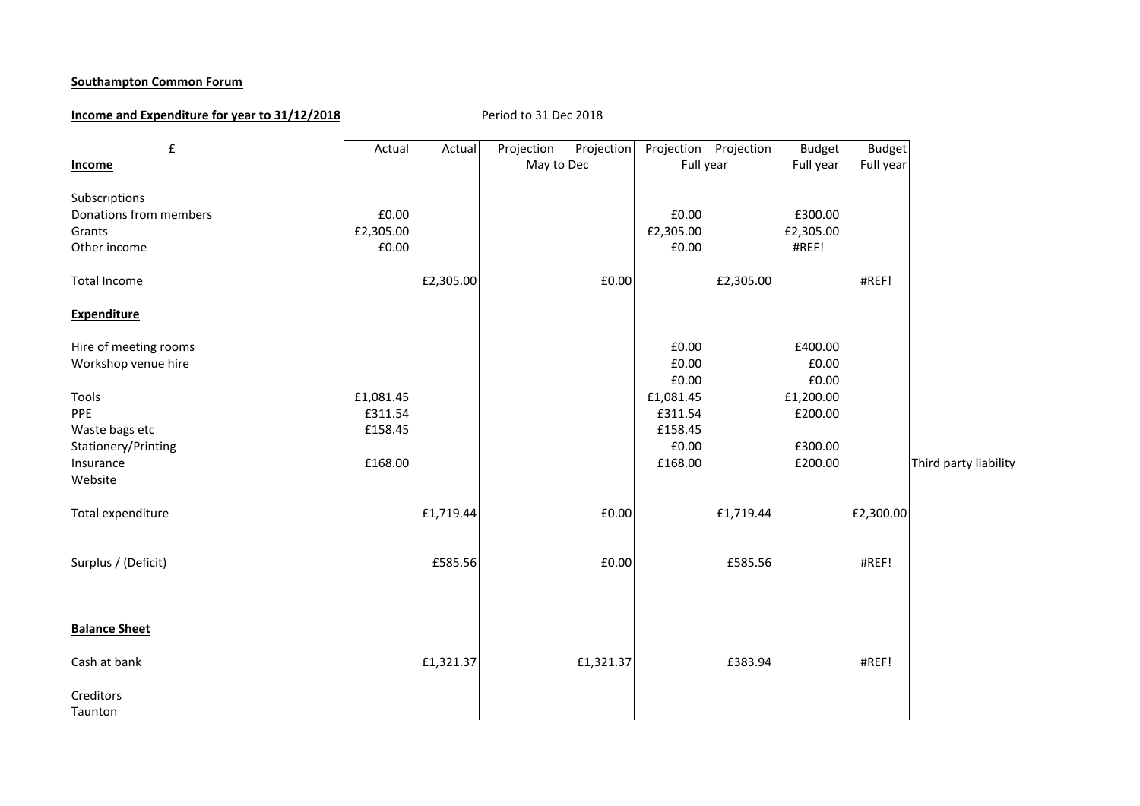### **Southampton Common Forum**

# **Income and Expenditure for year to 31/12/2018** Period to 31 Dec 2018

| $\pmb{\mathsf{f}}$                                                                                                                                                      | Actual                                   | Actual    | Projection | Projection | Projection Projection                                                              |           | <b>Budget</b>                                                           | <b>Budget</b> |                       |
|-------------------------------------------------------------------------------------------------------------------------------------------------------------------------|------------------------------------------|-----------|------------|------------|------------------------------------------------------------------------------------|-----------|-------------------------------------------------------------------------|---------------|-----------------------|
| <b>Income</b>                                                                                                                                                           |                                          |           | May to Dec |            | Full year                                                                          |           | Full year                                                               | Full year     |                       |
| Subscriptions<br>Donations from members<br>Grants<br>Other income<br><b>Total Income</b><br><b>Expenditure</b><br>Hire of meeting rooms<br>Workshop venue hire<br>Tools | £0.00<br>£2,305.00<br>£0.00<br>£1,081.45 | £2,305.00 |            | £0.00      | £0.00<br>£2,305.00<br>£0.00<br>£0.00<br>£0.00<br>$\pmb{\text{f0.00}}$<br>£1,081.45 | £2,305.00 | £300.00<br>£2,305.00<br>#REF!<br>£400.00<br>£0.00<br>£0.00<br>£1,200.00 | #REF!         |                       |
| PPE<br>Waste bags etc                                                                                                                                                   | £311.54<br>£158.45                       |           |            |            | £311.54<br>£158.45                                                                 |           | £200.00                                                                 |               |                       |
| Stationery/Printing<br>Insurance<br>Website                                                                                                                             | £168.00                                  |           |            |            | £0.00<br>£168.00                                                                   |           | £300.00<br>£200.00                                                      |               | Third party liability |
| Total expenditure                                                                                                                                                       |                                          | £1,719.44 |            | £0.00      |                                                                                    | £1,719.44 |                                                                         | £2,300.00     |                       |
| Surplus / (Deficit)                                                                                                                                                     |                                          | £585.56   |            | £0.00      |                                                                                    | £585.56   |                                                                         | #REF!         |                       |
| <b>Balance Sheet</b>                                                                                                                                                    |                                          |           |            |            |                                                                                    |           |                                                                         |               |                       |
| Cash at bank                                                                                                                                                            |                                          | £1,321.37 |            | £1,321.37  |                                                                                    | £383.94   |                                                                         | #REF!         |                       |
| Creditors<br>Taunton                                                                                                                                                    |                                          |           |            |            |                                                                                    |           |                                                                         |               |                       |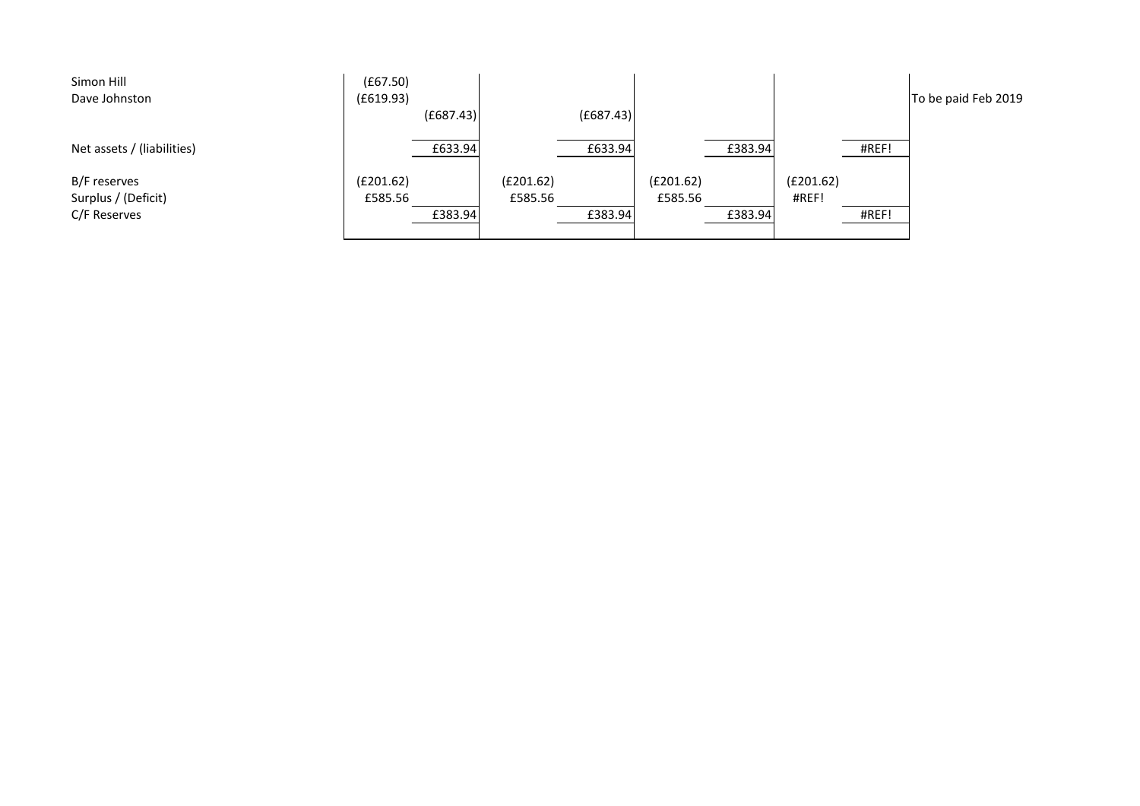| Simon Hill                 | (E67.50)  |           |           |           |           |         |           |       |                     |
|----------------------------|-----------|-----------|-----------|-----------|-----------|---------|-----------|-------|---------------------|
| Dave Johnston              | (f619.93) |           |           |           |           |         |           |       | To be paid Feb 2019 |
|                            |           | (E687.43) |           | (E687.43) |           |         |           |       |                     |
| Net assets / (liabilities) |           | £633.94   |           | £633.94   |           | £383.94 |           | #REF! |                     |
| B/F reserves               | (E201.62) |           | (E201.62) |           | (E201.62) |         | (E201.62) |       |                     |
| Surplus / (Deficit)        | £585.56   |           | £585.56   |           | £585.56   |         | #REF!     |       |                     |
| C/F Reserves               |           | £383.94   |           | £383.94   |           | £383.94 |           | #REF! |                     |
|                            |           |           |           |           |           |         |           |       |                     |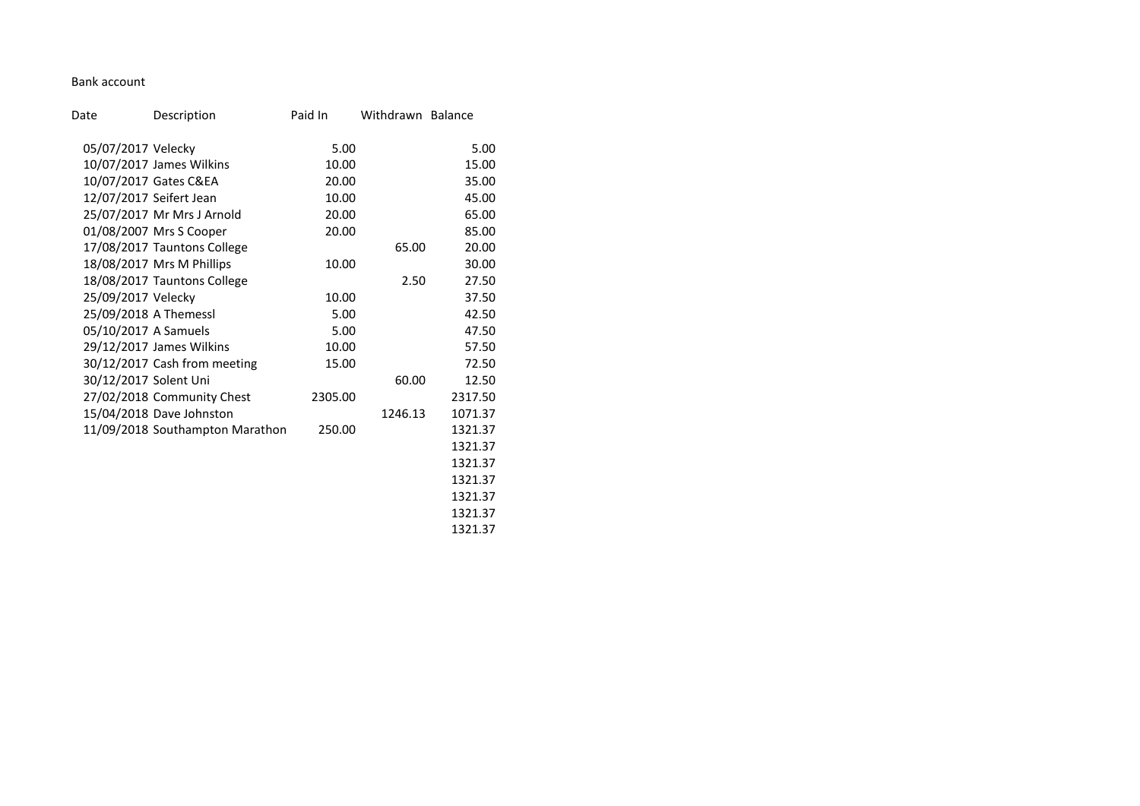### Bank account

| Date                  | Description                     | Paid In | Withdrawn Balance |         |
|-----------------------|---------------------------------|---------|-------------------|---------|
| 05/07/2017 Velecky    |                                 | 5.00    |                   | 5.00    |
|                       | 10/07/2017 James Wilkins        | 10.00   |                   | 15.00   |
|                       | 10/07/2017 Gates C&EA           | 20.00   |                   | 35.00   |
|                       | 12/07/2017 Seifert Jean         | 10.00   |                   | 45.00   |
|                       | 25/07/2017 Mr Mrs J Arnold      | 20.00   |                   | 65.00   |
|                       | 01/08/2007 Mrs S Cooper         | 20.00   |                   | 85.00   |
|                       | 17/08/2017 Tauntons College     |         | 65.00             | 20.00   |
|                       | 18/08/2017 Mrs M Phillips       | 10.00   |                   | 30.00   |
|                       | 18/08/2017 Tauntons College     |         | 2.50              | 27.50   |
| 25/09/2017 Velecky    |                                 | 10.00   |                   | 37.50   |
| 25/09/2018 A Themessl |                                 | 5.00    |                   | 42.50   |
| 05/10/2017 A Samuels  |                                 | 5.00    |                   | 47.50   |
|                       | 29/12/2017 James Wilkins        | 10.00   |                   | 57.50   |
|                       | 30/12/2017 Cash from meeting    | 15.00   |                   | 72.50   |
| 30/12/2017 Solent Uni |                                 |         | 60.00             | 12.50   |
|                       | 27/02/2018 Community Chest      | 2305.00 |                   | 2317.50 |
|                       | 15/04/2018 Dave Johnston        |         | 1246.13           | 1071.37 |
|                       | 11/09/2018 Southampton Marathon | 250.00  |                   | 1321.37 |
|                       |                                 |         |                   | 1321.37 |
|                       |                                 |         |                   | 1321.37 |
|                       |                                 |         |                   | 1321.37 |
|                       |                                 |         |                   | 1321.37 |

1321.37 1321.37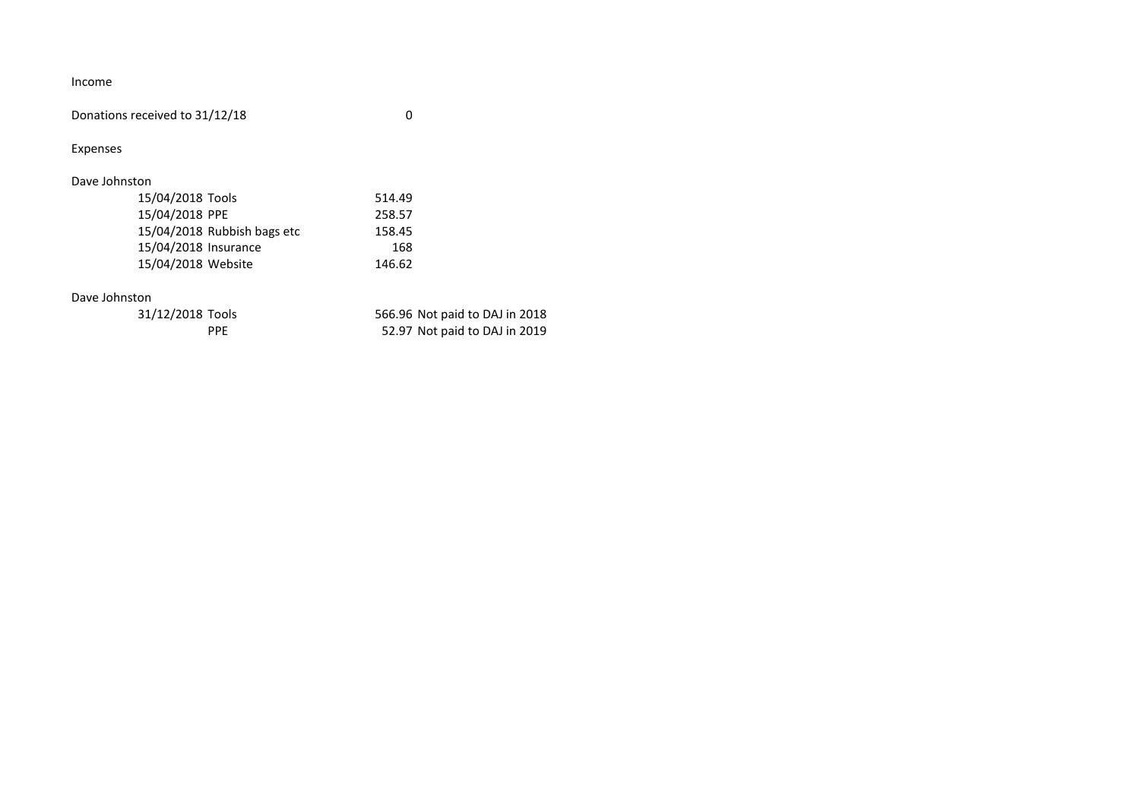Income

Donations received to 31/12/18 0

Expenses

# Dave Johnston

| 15/04/2018 Tools     |                             | 514.49 |
|----------------------|-----------------------------|--------|
| 15/04/2018 PPE       |                             | 258.57 |
|                      | 15/04/2018 Rubbish bags etc | 158.45 |
| 15/04/2018 Insurance |                             | 168    |
| 15/04/2018 Website   |                             | 146.62 |
|                      |                             |        |

### Dave Johnston

| 31/12/2018 Tools | 566.96 Not paid to DAJ in 2018 |
|------------------|--------------------------------|
| PPF              | 52.97 Not paid to DAJ in 2019  |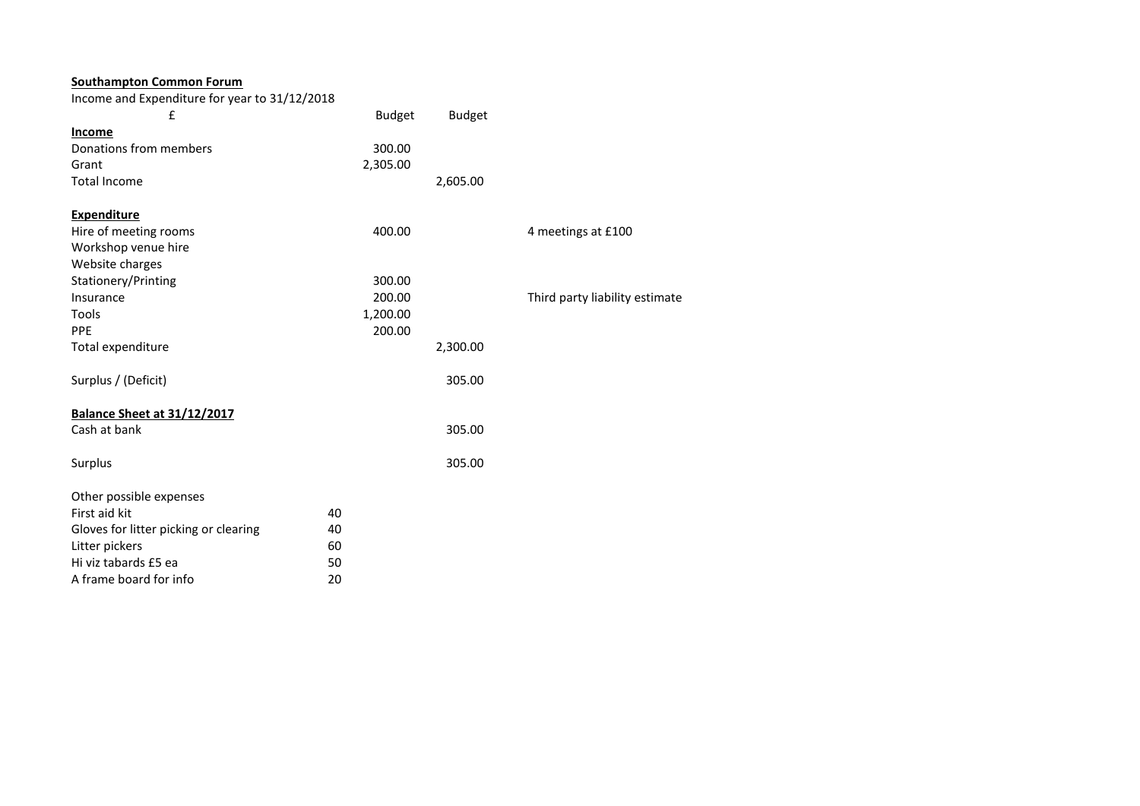| <b>Southampton Common Forum</b>               |               |               |                                |
|-----------------------------------------------|---------------|---------------|--------------------------------|
| Income and Expenditure for year to 31/12/2018 |               |               |                                |
| £                                             | <b>Budget</b> | <b>Budget</b> |                                |
| Income                                        |               |               |                                |
| Donations from members                        | 300.00        |               |                                |
| Grant                                         | 2,305.00      |               |                                |
| <b>Total Income</b>                           |               | 2,605.00      |                                |
| <b>Expenditure</b>                            |               |               |                                |
| Hire of meeting rooms                         | 400.00        |               | 4 meetings at £100             |
| Workshop venue hire                           |               |               |                                |
| Website charges                               |               |               |                                |
| Stationery/Printing                           | 300.00        |               |                                |
| Insurance                                     | 200.00        |               | Third party liability estimate |
| Tools                                         | 1,200.00      |               |                                |
| PPE                                           | 200.00        |               |                                |
| Total expenditure                             |               | 2,300.00      |                                |
| Surplus / (Deficit)                           |               | 305.00        |                                |
| <b>Balance Sheet at 31/12/2017</b>            |               |               |                                |
| Cash at bank                                  |               | 305.00        |                                |
| Surplus                                       |               | 305.00        |                                |
| Other possible expenses                       |               |               |                                |
| First aid kit                                 | 40            |               |                                |
| Gloves for litter picking or clearing         | 40            |               |                                |
| Litter pickers                                | 60            |               |                                |
| Hi viz tabards £5 ea                          | 50            |               |                                |
| A frame board for info                        | 20            |               |                                |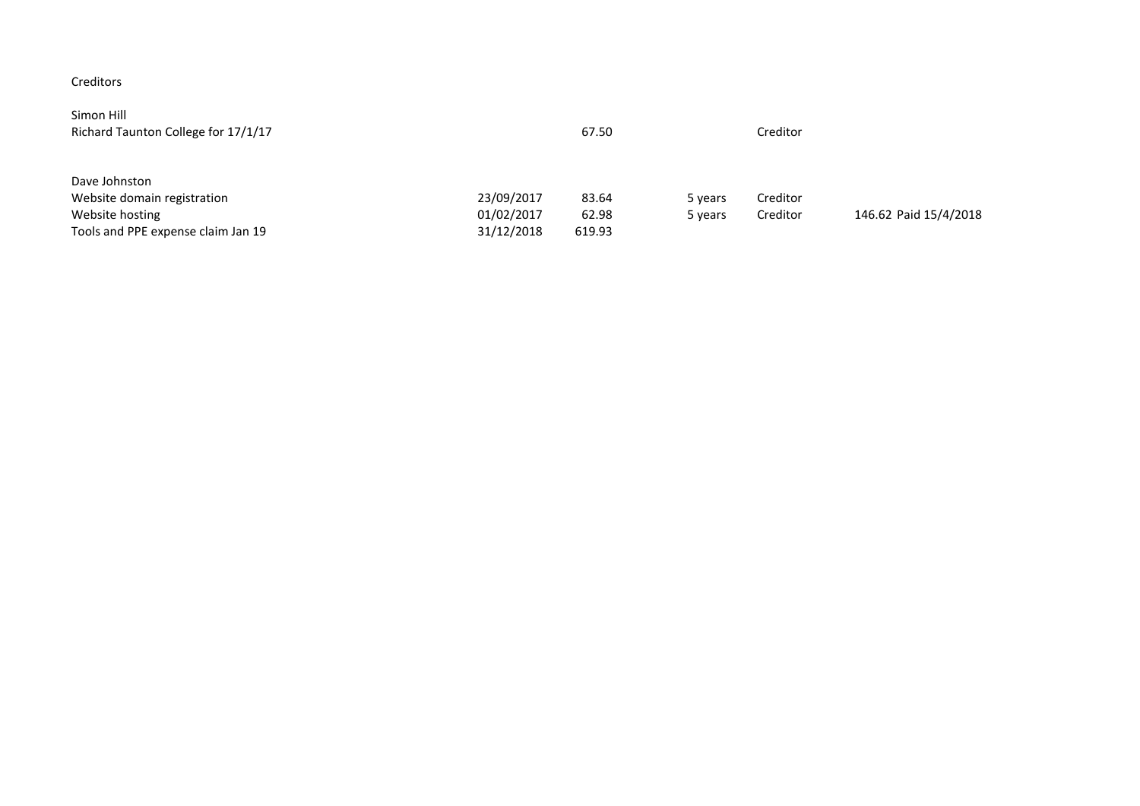# Creditors

| Simon Hill<br>Richard Taunton College for 17/1/17 |            | 67.50  |         | Creditor |                       |
|---------------------------------------------------|------------|--------|---------|----------|-----------------------|
| Dave Johnston                                     |            |        |         |          |                       |
| Website domain registration                       | 23/09/2017 | 83.64  | 5 years | Creditor |                       |
| Website hosting                                   | 01/02/2017 | 62.98  | 5 years | Creditor | 146.62 Paid 15/4/2018 |
| Tools and PPE expense claim Jan 19                | 31/12/2018 | 619.93 |         |          |                       |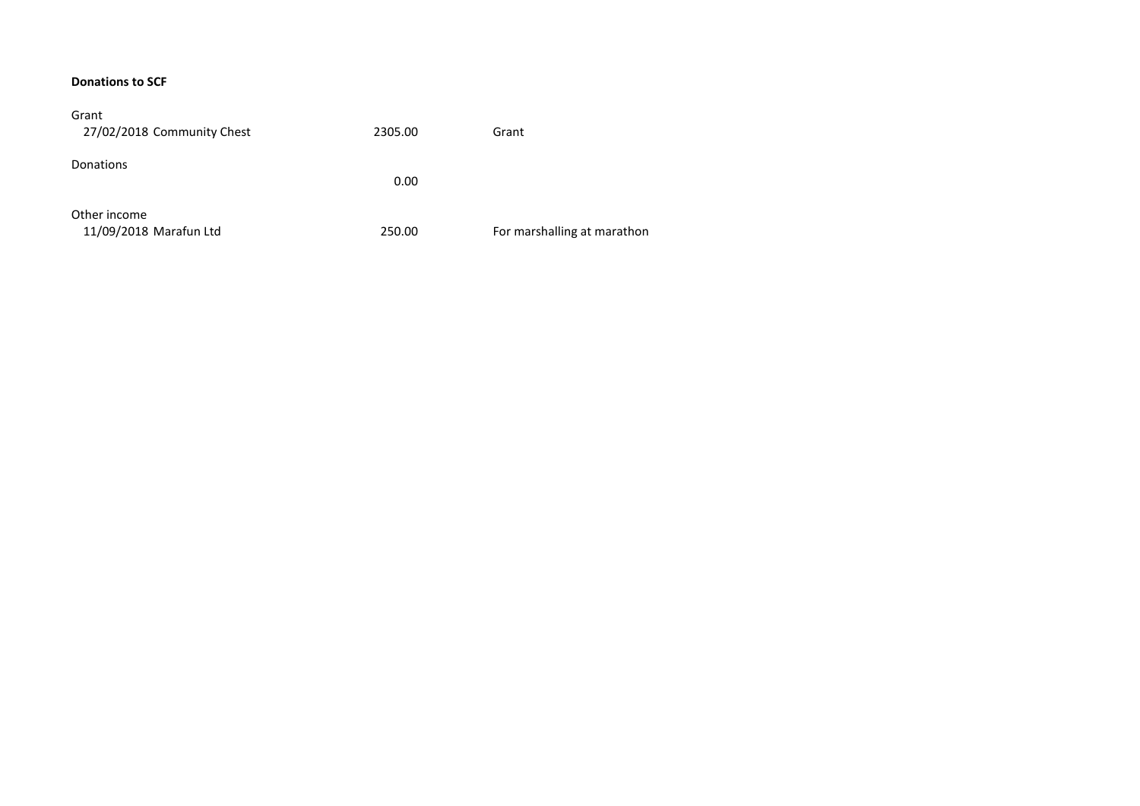#### **Donations to SCF**

| Grant<br>27/02/2018 Community Chest    | 2305.00 | Grant                       |
|----------------------------------------|---------|-----------------------------|
| Donations                              | 0.00    |                             |
| Other income<br>11/09/2018 Marafun Ltd | 250.00  | For marshalling at marathon |